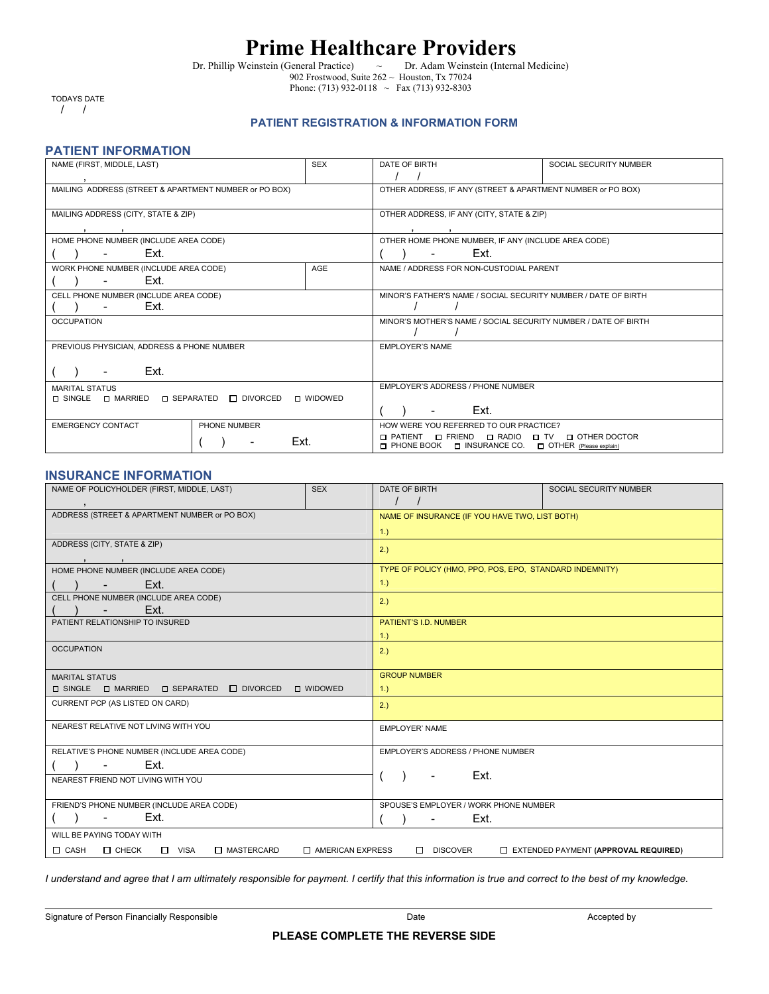# **Prime Healthcare Providers**<br>Veinstein (General Practice) <br>  $\sim$  Dr. Adam Weinstein (Internal Medicine)

Dr. Phillip Weinstein (General Practice)  $\sim$ 902 Frostwood, Suite  $262 \sim$  Houston, Tx 77024 Phone: (713) 932-0118  $\sim$  Fax (713) 932-8303

 TODAYS DATE / /

### **PATIENT REGISTRATION & INFORMATION FORM**

#### **PATIENT INFORMATION**

| NAME (FIRST, MIDDLE, LAST)                                                        | <b>SEX</b> | DATE OF BIRTH                                                                                           | SOCIAL SECURITY NUMBER |
|-----------------------------------------------------------------------------------|------------|---------------------------------------------------------------------------------------------------------|------------------------|
|                                                                                   |            |                                                                                                         |                        |
| MAILING ADDRESS (STREET & APARTMENT NUMBER or PO BOX)                             |            | OTHER ADDRESS, IF ANY (STREET & APARTMENT NUMBER or PO BOX)                                             |                        |
|                                                                                   |            |                                                                                                         |                        |
| MAILING ADDRESS (CITY, STATE & ZIP)                                               |            | OTHER ADDRESS. IF ANY (CITY, STATE & ZIP)                                                               |                        |
|                                                                                   |            |                                                                                                         |                        |
| HOME PHONE NUMBER (INCLUDE AREA CODE)                                             |            | OTHER HOME PHONE NUMBER, IF ANY (INCLUDE AREA CODE)                                                     |                        |
| Ext.                                                                              |            | Ext.                                                                                                    |                        |
| WORK PHONE NUMBER (INCLUDE AREA CODE)                                             | AGE        | NAME / ADDRESS FOR NON-CUSTODIAL PARENT                                                                 |                        |
| Ext.                                                                              |            |                                                                                                         |                        |
| CELL PHONE NUMBER (INCLUDE AREA CODE)                                             |            | MINOR'S FATHER'S NAME / SOCIAL SECURITY NUMBER / DATE OF BIRTH                                          |                        |
| Ext.                                                                              |            |                                                                                                         |                        |
| <b>OCCUPATION</b>                                                                 |            | MINOR'S MOTHER'S NAME / SOCIAL SECURITY NUMBER / DATE OF BIRTH                                          |                        |
|                                                                                   |            |                                                                                                         |                        |
| PREVIOUS PHYSICIAN, ADDRESS & PHONE NUMBER                                        |            | <b>EMPLOYER'S NAME</b>                                                                                  |                        |
|                                                                                   |            |                                                                                                         |                        |
| Ext.                                                                              |            |                                                                                                         |                        |
| <b>MARITAL STATUS</b>                                                             |            | EMPLOYER'S ADDRESS / PHONE NUMBER                                                                       |                        |
| $\Box$ SINGLE $\Box$ MARRIED $\Box$ SEPARATED $\Box$ DIVORCED<br><b>D</b> WIDOWED |            |                                                                                                         |                        |
|                                                                                   |            | Ext.                                                                                                    |                        |
| <b>EMERGENCY CONTACT</b><br>PHONE NUMBER                                          |            | HOW WERE YOU REFERRED TO OUR PRACTICE?                                                                  |                        |
|                                                                                   | Ext.       | □ PATIENT □ FRIEND □ RADIO □ TV □ OTHER DOCTOR<br>□ PHONE BOOK □ INSURANCE CO. □ OTHER (Please explain) |                        |

### **INSURANCE INFORMATION**

| NAME OF POLICYHOLDER (FIRST, MIDDLE, LAST)                                                                                          | <b>SEX</b> | DATE OF BIRTH                                           | SOCIAL SECURITY NUMBER |  |
|-------------------------------------------------------------------------------------------------------------------------------------|------------|---------------------------------------------------------|------------------------|--|
| $\overline{\phantom{a}}$                                                                                                            |            | $\frac{1}{2}$                                           |                        |  |
| ADDRESS (STREET & APARTMENT NUMBER or PO BOX)                                                                                       |            | NAME OF INSURANCE (IF YOU HAVE TWO, LIST BOTH)          |                        |  |
|                                                                                                                                     |            | $1.$ )                                                  |                        |  |
| ADDRESS (CITY, STATE & ZIP)                                                                                                         |            | 2.)                                                     |                        |  |
|                                                                                                                                     |            |                                                         |                        |  |
| HOME PHONE NUMBER (INCLUDE AREA CODE)                                                                                               |            | TYPE OF POLICY (HMO, PPO, POS, EPO, STANDARD INDEMNITY) |                        |  |
| Ext.<br>$\sim 100$                                                                                                                  |            | 1.)                                                     |                        |  |
| CELL PHONE NUMBER (INCLUDE AREA CODE)                                                                                               |            | 2.)                                                     |                        |  |
| Ext.<br>$\sim$                                                                                                                      |            |                                                         |                        |  |
| PATIENT RELATIONSHIP TO INSURED                                                                                                     |            | PATIENT'S I.D. NUMBER                                   |                        |  |
|                                                                                                                                     |            | 1.)                                                     |                        |  |
| <b>OCCUPATION</b>                                                                                                                   |            | 2.)                                                     |                        |  |
|                                                                                                                                     |            |                                                         |                        |  |
| <b>MARITAL STATUS</b>                                                                                                               |            | <b>GROUP NUMBER</b>                                     |                        |  |
| $\square$ SINGLE $\square$ MARRIED $\square$ SEPARATED $\square$ DIVORCED<br><b>D</b> WIDOWED                                       |            | 1.                                                      |                        |  |
| CURRENT PCP (AS LISTED ON CARD)                                                                                                     |            | 2.)                                                     |                        |  |
|                                                                                                                                     |            |                                                         |                        |  |
| NEAREST RELATIVE NOT LIVING WITH YOU                                                                                                |            | <b>EMPLOYER' NAME</b>                                   |                        |  |
|                                                                                                                                     |            |                                                         |                        |  |
| RELATIVE'S PHONE NUMBER (INCLUDE AREA CODE)                                                                                         |            | EMPLOYER'S ADDRESS / PHONE NUMBER                       |                        |  |
| Ext.<br>$\sim$                                                                                                                      |            |                                                         |                        |  |
| NEAREST FRIEND NOT LIVING WITH YOU                                                                                                  |            | Ext.<br>$\overline{\phantom{a}}$                        |                        |  |
|                                                                                                                                     |            |                                                         |                        |  |
| FRIEND'S PHONE NUMBER (INCLUDE AREA CODE)                                                                                           |            | SPOUSE'S EMPLOYER / WORK PHONE NUMBER                   |                        |  |
| Ext.<br>$\overline{\phantom{a}}$                                                                                                    |            | Ext.<br>$\blacksquare$                                  |                        |  |
| WILL BE PAYING TODAY WITH                                                                                                           |            |                                                         |                        |  |
| $\Box$ CASH $\Box$ CHECK $\Box$ VISA<br>□ MASTERCARD<br>$\Box$ AMERICAN EXPRESS<br>DISCOVER<br>EXTENDED PAYMENT (APPROVAL REQUIRED) |            |                                                         |                        |  |

*I understand and agree that I am ultimately responsible for payment. I certify that this information is true and correct to the best of my knowledge.*